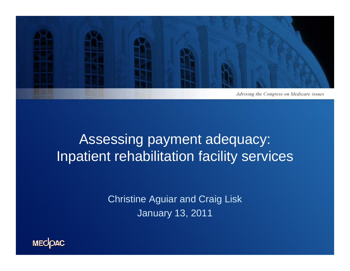

# Assessing payment adequacy: Inpatient rehabilitation facility services

**Christine Aguiar and Craig Lisk** January 13, 2011

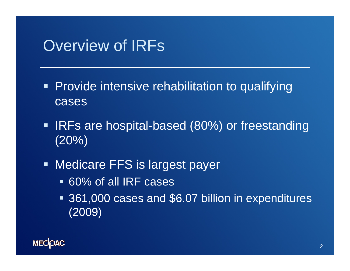### Overview of IRFs

- Provide intensive rehabilitation to qualifying cases
- **IRFs are hospital-based (80%) or freestanding** (20%)
- **Medicare FFS is largest payer** 
	- 60% of all IRF cases
	- 361,000 cases and \$6.07 billion in expenditures (2009)

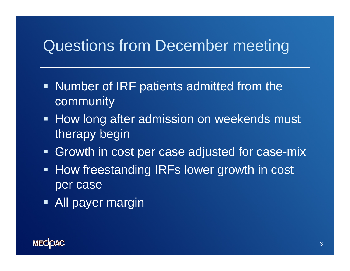# Questions from December meeting

- Number of IRF patients admitted from the community
- **How long after admission on weekends must** therapy begin
- **Growth in cost per case adjusted for case-mix**
- **How freestanding IRFs lower growth in cost** per case
- **All payer margin**

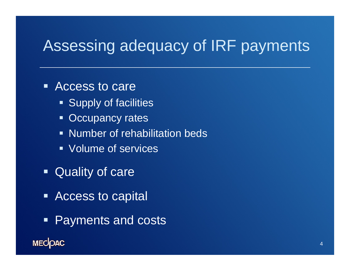# Assessing adequacy of IRF payments

#### ■ Access to care

- **Supply of facilities**
- **Occupancy rates**
- **Number of rehabilitation beds**
- **Volume of services**
- **Quality of care**
- Access to capital
- $\blacksquare$ **Payments and costs**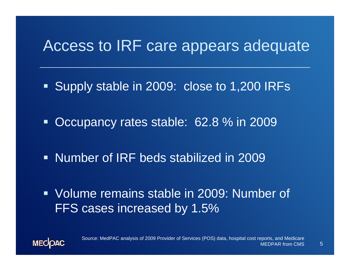# Access to IRF care appears adequate

- Supply stable in 2009: close to 1,200 IRFs
- $\blacksquare$ • Occupancy rates stable: 62.8 % in 2009
- **Number of IRF beds stabilized in 2009**
- Volume remains stable in 2009: Number of FFS cases increased by 1.5%

5

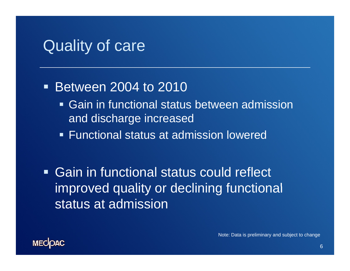#### Quality of care

#### $\blacksquare$  Between 2004 to 2010

- Gain in functional status between admission and discharge increased
- Functional status at admission lowered

 Gain in functional status could reflect improved quality or declining functional status at admission

Note: Data is preliminary and subject to change

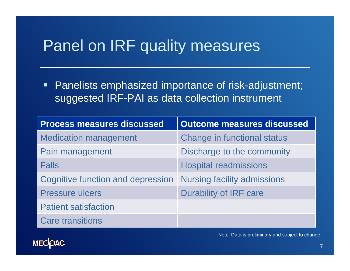# Panel on IRF quality measures

• Panelists emphasized importance of risk-adjustment; suggested IRF-PAI as data collection instrument

| <b>Process measures discussed</b> | Outcome measures discussed         |
|-----------------------------------|------------------------------------|
| <b>Medication management</b>      | <b>Change in functional status</b> |
| Pain management                   | Discharge to the community         |
| <b>Falls</b>                      | <b>Hospital readmissions</b>       |
| Cognitive function and depression | <b>Nursing facility admissions</b> |
| <b>Pressure ulcers</b>            | <b>Durability of IRF care</b>      |
| <b>Patient satisfaction</b>       |                                    |
| <b>Care transitions</b>           |                                    |



Note: Data is preliminary and subject to change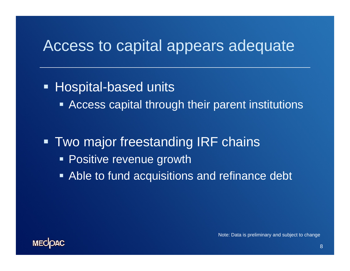## Access to capital appears adequate

• Hospital-based units

**EXTE: Access capital through their parent institutions** 

**- Two major freestanding IRF chains • Positive revenue growth** 

**Able to fund acquisitions and refinance debt** 



Note: Data is preliminary and subject to change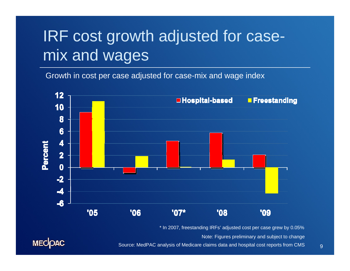# IRF cost growth adjusted for casemix and wages

Growth in cost per case adjusted for case-mix and wage index



\* In 2007, freestanding IRFs' adjusted cost per case grew by 0.05%

Note: Figures preliminary and subject to change



Source: MedPAC analysis of Medicare claims data and hospital cost reports from CMS